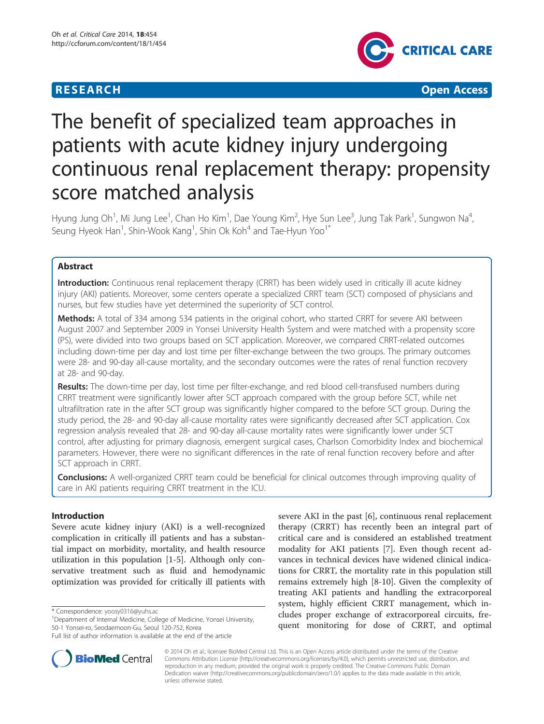# **RESEARCH CHEAR CHEAR CHEAR CHEAR CHEAR CHEAR CHEAR CHEAR CHEAR CHEAR CHEAR CHEAR CHEAR CHEAR CHEAR CHEAR CHEAR**



# The benefit of specialized team approaches in patients with acute kidney injury undergoing continuous renal replacement therapy: propensity score matched analysis

Hyung Jung Oh<sup>1</sup>, Mi Jung Lee<sup>1</sup>, Chan Ho Kim<sup>1</sup>, Dae Young Kim<sup>2</sup>, Hye Sun Lee<sup>3</sup>, Jung Tak Park<sup>1</sup>, Sungwon Na<sup>4</sup> , Seung Hyeok Han<sup>1</sup>, Shin-Wook Kang<sup>1</sup>, Shin Ok Koh<sup>4</sup> and Tae-Hyun Yoo<sup>1\*</sup>

# Abstract

Introduction: Continuous renal replacement therapy (CRRT) has been widely used in critically ill acute kidney injury (AKI) patients. Moreover, some centers operate a specialized CRRT team (SCT) composed of physicians and nurses, but few studies have yet determined the superiority of SCT control.

Methods: A total of 334 among 534 patients in the original cohort, who started CRRT for severe AKI between August 2007 and September 2009 in Yonsei University Health System and were matched with a propensity score (PS), were divided into two groups based on SCT application. Moreover, we compared CRRT-related outcomes including down-time per day and lost time per filter-exchange between the two groups. The primary outcomes were 28- and 90-day all-cause mortality, and the secondary outcomes were the rates of renal function recovery at 28- and 90-day.

Results: The down-time per day, lost time per filter-exchange, and red blood cell-transfused numbers during CRRT treatment were significantly lower after SCT approach compared with the group before SCT, while net ultrafiltration rate in the after SCT group was significantly higher compared to the before SCT group. During the study period, the 28- and 90-day all-cause mortality rates were significantly decreased after SCT application. Cox regression analysis revealed that 28- and 90-day all-cause mortality rates were significantly lower under SCT control, after adjusting for primary diagnosis, emergent surgical cases, Charlson Comorbidity Index and biochemical parameters. However, there were no significant differences in the rate of renal function recovery before and after SCT approach in CRRT.

**Conclusions:** A well-organized CRRT team could be beneficial for clinical outcomes through improving quality of care in AKI patients requiring CRRT treatment in the ICU.

# Introduction

Severe acute kidney injury (AKI) is a well-recognized complication in critically ill patients and has a substantial impact on morbidity, mortality, and health resource utilization in this population [[1-](#page-7-0)[5](#page-8-0)]. Although only conservative treatment such as fluid and hemodynamic optimization was provided for critically ill patients with

severe AKI in the past [[6\]](#page-8-0), continuous renal replacement therapy (CRRT) has recently been an integral part of critical care and is considered an established treatment modality for AKI patients [[7](#page-8-0)]. Even though recent advances in technical devices have widened clinical indications for CRRT, the mortality rate in this population still remains extremely high [[8-10](#page-8-0)]. Given the complexity of treating AKI patients and handling the extracorporeal system, highly efficient CRRT management, which includes proper exchange of extracorporeal circuits, frequent monitoring for dose of CRRT, and optimal



© 2014 Oh et al.; licensee BioMed Central Ltd. This is an Open Access article distributed under the terms of the Creative Commons Attribution License [\(http://creativecommons.org/licenses/by/4.0\)](http://creativecommons.org/licenses/by/4.0), which permits unrestricted use, distribution, and reproduction in any medium, provided the original work is properly credited. The Creative Commons Public Domain Dedication waiver [\(http://creativecommons.org/publicdomain/zero/1.0/](http://creativecommons.org/publicdomain/zero/1.0/)) applies to the data made available in this article, unless otherwise stated.

<sup>\*</sup> Correspondence: [yoosy0316@yuhs.ac](mailto:yoosy0316@yuhs.ac) <sup>1</sup>

<sup>&</sup>lt;sup>1</sup>Department of Internal Medicine, College of Medicine, Yonsei University, 50-1 Yonsei-ro, Seodaemoon-Gu, Seoul 120-752, Korea

Full list of author information is available at the end of the article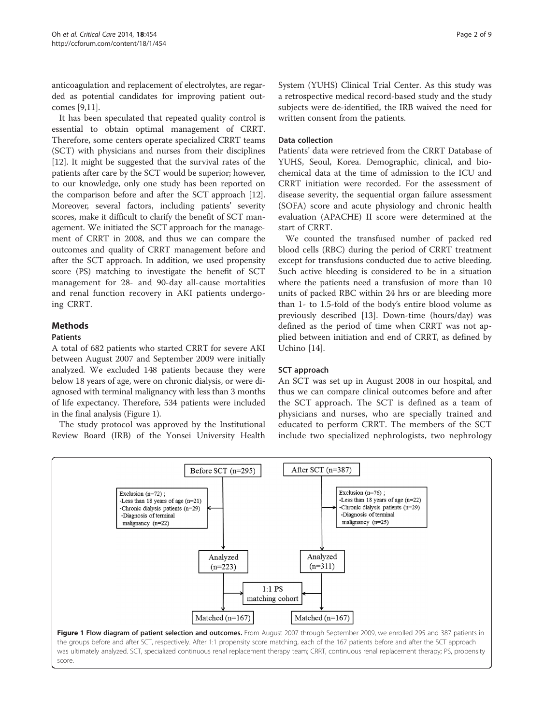anticoagulation and replacement of electrolytes, are regarded as potential candidates for improving patient outcomes [[9,11](#page-8-0)].

It has been speculated that repeated quality control is essential to obtain optimal management of CRRT. Therefore, some centers operate specialized CRRT teams (SCT) with physicians and nurses from their disciplines [[12\]](#page-8-0). It might be suggested that the survival rates of the patients after care by the SCT would be superior; however, to our knowledge, only one study has been reported on the comparison before and after the SCT approach [[12](#page-8-0)]. Moreover, several factors, including patients' severity scores, make it difficult to clarify the benefit of SCT management. We initiated the SCT approach for the management of CRRT in 2008, and thus we can compare the outcomes and quality of CRRT management before and after the SCT approach. In addition, we used propensity score (PS) matching to investigate the benefit of SCT management for 28- and 90-day all-cause mortalities and renal function recovery in AKI patients undergoing CRRT.

# **Methods**

#### **Pationts**

A total of 682 patients who started CRRT for severe AKI between August 2007 and September 2009 were initially analyzed. We excluded 148 patients because they were below 18 years of age, were on chronic dialysis, or were diagnosed with terminal malignancy with less than 3 months of life expectancy. Therefore, 534 patients were included in the final analysis (Figure 1).

The study protocol was approved by the Institutional Review Board (IRB) of the Yonsei University Health

System (YUHS) Clinical Trial Center. As this study was a retrospective medical record-based study and the study subjects were de-identified, the IRB waived the need for written consent from the patients.

#### Data collection

Patients' data were retrieved from the CRRT Database of YUHS, Seoul, Korea. Demographic, clinical, and biochemical data at the time of admission to the ICU and CRRT initiation were recorded. For the assessment of disease severity, the sequential organ failure assessment (SOFA) score and acute physiology and chronic health evaluation (APACHE) II score were determined at the start of CRRT.

We counted the transfused number of packed red blood cells (RBC) during the period of CRRT treatment except for transfusions conducted due to active bleeding. Such active bleeding is considered to be in a situation where the patients need a transfusion of more than 10 units of packed RBC within 24 hrs or are bleeding more than 1- to 1.5-fold of the body's entire blood volume as previously described [[13\]](#page-8-0). Down-time (hours/day) was defined as the period of time when CRRT was not applied between initiation and end of CRRT, as defined by Uchino [[14\]](#page-8-0).

#### SCT approach

An SCT was set up in August 2008 in our hospital, and thus we can compare clinical outcomes before and after the SCT approach. The SCT is defined as a team of physicians and nurses, who are specially trained and educated to perform CRRT. The members of the SCT include two specialized nephrologists, two nephrology



score.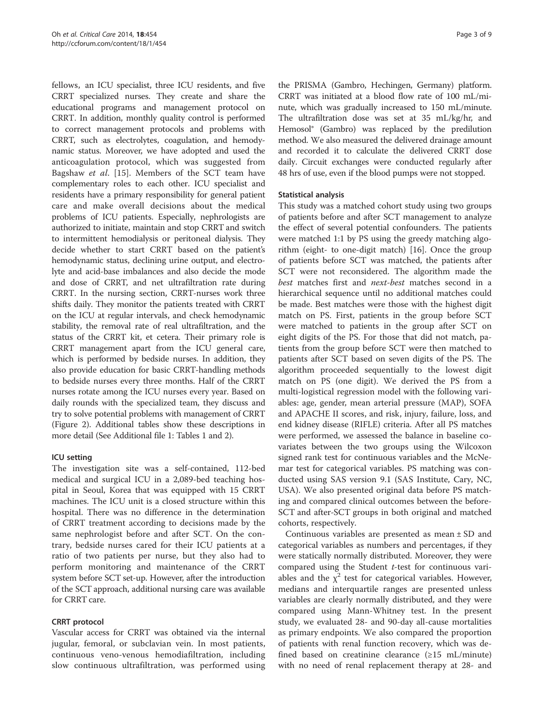fellows, an ICU specialist, three ICU residents, and five CRRT specialized nurses. They create and share the educational programs and management protocol on CRRT. In addition, monthly quality control is performed to correct management protocols and problems with CRRT, such as electrolytes, coagulation, and hemodynamic status. Moreover, we have adopted and used the anticoagulation protocol, which was suggested from Bagshaw et al. [\[15](#page-8-0)]. Members of the SCT team have complementary roles to each other. ICU specialist and residents have a primary responsibility for general patient care and make overall decisions about the medical problems of ICU patients. Especially, nephrologists are authorized to initiate, maintain and stop CRRT and switch to intermittent hemodialysis or peritoneal dialysis. They decide whether to start CRRT based on the patient's hemodynamic status, declining urine output, and electrolyte and acid-base imbalances and also decide the mode and dose of CRRT, and net ultrafiltration rate during CRRT. In the nursing section, CRRT-nurses work three shifts daily. They monitor the patients treated with CRRT on the ICU at regular intervals, and check hemodynamic stability, the removal rate of real ultrafiltration, and the status of the CRRT kit, et cetera. Their primary role is CRRT management apart from the ICU general care, which is performed by bedside nurses. In addition, they also provide education for basic CRRT-handling methods to bedside nurses every three months. Half of the CRRT nurses rotate among the ICU nurses every year. Based on daily rounds with the specialized team, they discuss and try to solve potential problems with management of CRRT (Figure [2\)](#page-3-0). Additional tables show these descriptions in more detail (See Additional file [1](#page-7-0): Tables 1 and 2).

#### ICU setting

The investigation site was a self-contained, 112-bed medical and surgical ICU in a 2,089-bed teaching hospital in Seoul, Korea that was equipped with 15 CRRT machines. The ICU unit is a closed structure within this hospital. There was no difference in the determination of CRRT treatment according to decisions made by the same nephrologist before and after SCT. On the contrary, bedside nurses cared for their ICU patients at a ratio of two patients per nurse, but they also had to perform monitoring and maintenance of the CRRT system before SCT set-up. However, after the introduction of the SCT approach, additional nursing care was available for CRRT care.

# CRRT protocol

Vascular access for CRRT was obtained via the internal jugular, femoral, or subclavian vein. In most patients, continuous veno-venous hemodiafiltration, including slow continuous ultrafiltration, was performed using the PRISMA (Gambro, Hechingen, Germany) platform. CRRT was initiated at a blood flow rate of 100 mL/minute, which was gradually increased to 150 mL/minute. The ultrafiltration dose was set at 35 mL/kg/hr, and Hemosol® (Gambro) was replaced by the predilution method. We also measured the delivered drainage amount and recorded it to calculate the delivered CRRT dose daily. Circuit exchanges were conducted regularly after 48 hrs of use, even if the blood pumps were not stopped.

## Statistical analysis

This study was a matched cohort study using two groups of patients before and after SCT management to analyze the effect of several potential confounders. The patients were matched 1:1 by PS using the greedy matching algorithm (eight- to one-digit match) [\[16\]](#page-8-0). Once the group of patients before SCT was matched, the patients after SCT were not reconsidered. The algorithm made the best matches first and next-best matches second in a hierarchical sequence until no additional matches could be made. Best matches were those with the highest digit match on PS. First, patients in the group before SCT were matched to patients in the group after SCT on eight digits of the PS. For those that did not match, patients from the group before SCT were then matched to patients after SCT based on seven digits of the PS. The algorithm proceeded sequentially to the lowest digit match on PS (one digit). We derived the PS from a multi-logistical regression model with the following variables: age, gender, mean arterial pressure (MAP), SOFA and APACHE II scores, and risk, injury, failure, loss, and end kidney disease (RIFLE) criteria. After all PS matches were performed, we assessed the balance in baseline covariates between the two groups using the Wilcoxon signed rank test for continuous variables and the McNemar test for categorical variables. PS matching was conducted using SAS version 9.1 (SAS Institute, Cary, NC, USA). We also presented original data before PS matching and compared clinical outcomes between the before-SCT and after-SCT groups in both original and matched cohorts, respectively.

Continuous variables are presented as mean ± SD and categorical variables as numbers and percentages, if they were statically normally distributed. Moreover, they were compared using the Student  $t$ -test for continuous variables and the  $\chi^2$  test for categorical variables. However, medians and interquartile ranges are presented unless variables are clearly normally distributed, and they were compared using Mann-Whitney test. In the present study, we evaluated 28- and 90-day all-cause mortalities as primary endpoints. We also compared the proportion of patients with renal function recovery, which was defined based on creatinine clearance  $(\geq 15 \text{ mL/minute})$ with no need of renal replacement therapy at 28- and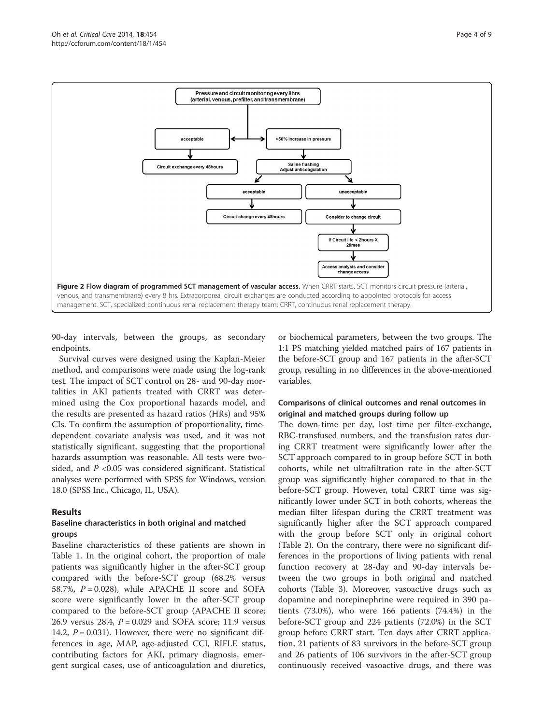<span id="page-3-0"></span>

90-day intervals, between the groups, as secondary endpoints.

Survival curves were designed using the Kaplan-Meier method, and comparisons were made using the log-rank test. The impact of SCT control on 28- and 90-day mortalities in AKI patients treated with CRRT was determined using the Cox proportional hazards model, and the results are presented as hazard ratios (HRs) and 95% CIs. To confirm the assumption of proportionality, timedependent covariate analysis was used, and it was not statistically significant, suggesting that the proportional hazards assumption was reasonable. All tests were twosided, and  $P < 0.05$  was considered significant. Statistical analyses were performed with SPSS for Windows, version 18.0 (SPSS Inc., Chicago, IL, USA).

#### Results

#### Baseline characteristics in both original and matched groups

Baseline characteristics of these patients are shown in Table [1.](#page-4-0) In the original cohort, the proportion of male patients was significantly higher in the after-SCT group compared with the before-SCT group (68.2% versus 58.7%,  $P = 0.028$ ), while APACHE II score and SOFA score were significantly lower in the after-SCT group compared to the before-SCT group (APACHE II score; 26.9 versus 28.4,  $P = 0.029$  and SOFA score; 11.9 versus 14.2,  $P = 0.031$ ). However, there were no significant differences in age, MAP, age-adjusted CCI, RIFLE status, contributing factors for AKI, primary diagnosis, emergent surgical cases, use of anticoagulation and diuretics,

or biochemical parameters, between the two groups. The 1:1 PS matching yielded matched pairs of 167 patients in the before-SCT group and 167 patients in the after-SCT group, resulting in no differences in the above-mentioned variables.

## Comparisons of clinical outcomes and renal outcomes in original and matched groups during follow up

The down-time per day, lost time per filter-exchange, RBC-transfused numbers, and the transfusion rates during CRRT treatment were significantly lower after the SCT approach compared to in group before SCT in both cohorts, while net ultrafiltration rate in the after-SCT group was significantly higher compared to that in the before-SCT group. However, total CRRT time was significantly lower under SCT in both cohorts, whereas the median filter lifespan during the CRRT treatment was significantly higher after the SCT approach compared with the group before SCT only in original cohort (Table [2](#page-5-0)). On the contrary, there were no significant differences in the proportions of living patients with renal function recovery at 28-day and 90-day intervals between the two groups in both original and matched cohorts (Table [3\)](#page-5-0). Moreover, vasoactive drugs such as dopamine and norepinephrine were required in 390 patients (73.0%), who were 166 patients (74.4%) in the before-SCT group and 224 patients (72.0%) in the SCT group before CRRT start. Ten days after CRRT application, 21 patients of 83 survivors in the before-SCT group and 26 patients of 106 survivors in the after-SCT group continuously received vasoactive drugs, and there was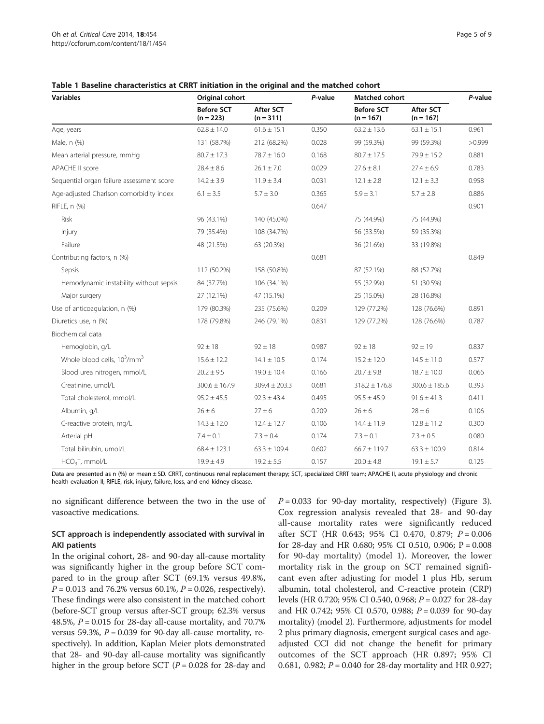<span id="page-4-0"></span>

| <b>Variables</b>                          | Original cohort                  |                                 | P-value | Matched cohort                   |                                 | P-value |
|-------------------------------------------|----------------------------------|---------------------------------|---------|----------------------------------|---------------------------------|---------|
|                                           | <b>Before SCT</b><br>$(n = 223)$ | <b>After SCT</b><br>$(n = 311)$ |         | <b>Before SCT</b><br>$(n = 167)$ | <b>After SCT</b><br>$(n = 167)$ |         |
| Age, years                                | $62.8 \pm 14.0$                  | $61.6 \pm 15.1$                 | 0.350   | $63.2 \pm 13.6$                  | $63.1 \pm 15.1$                 | 0.961   |
| Male, n (%)                               | 131 (58.7%)                      | 212 (68.2%)                     | 0.028   | 99 (59.3%)                       | 99 (59.3%)                      | >0.999  |
| Mean arterial pressure, mmHg              | $80.7 \pm 17.3$                  | $78.7 \pm 16.0$                 | 0.168   | $80.7 \pm 17.5$                  | $79.9 \pm 15.2$                 | 0.881   |
| <b>APACHE II score</b>                    | $28.4 \pm 8.6$                   | $26.1 \pm 7.0$                  | 0.029   | $27.6 \pm 8.1$                   | $27.4 \pm 6.9$                  | 0.783   |
| Sequential organ failure assessment score | $14.2 \pm 3.9$                   | $11.9 \pm 3.4$                  | 0.031   | $12.1 \pm 2.8$                   | $12.1 \pm 3.3$                  | 0.958   |
| Age-adjusted Charlson comorbidity index   | $6.1 \pm 3.5$                    | $5.7 \pm 3.0$                   | 0.365   | $5.9 \pm 3.1$                    | $5.7 \pm 2.8$                   | 0.886   |
| RIFLE, n (%)                              |                                  |                                 | 0.647   |                                  |                                 | 0.901   |
| Risk                                      | 96 (43.1%)                       | 140 (45.0%)                     |         | 75 (44.9%)                       | 75 (44.9%)                      |         |
| Injury                                    | 79 (35.4%)                       | 108 (34.7%)                     |         | 56 (33.5%)                       | 59 (35.3%)                      |         |
| Failure                                   | 48 (21.5%)                       | 63 (20.3%)                      |         | 36 (21.6%)                       | 33 (19.8%)                      |         |
| Contributing factors, n (%)               |                                  |                                 | 0.681   |                                  |                                 | 0.849   |
| Sepsis                                    | 112 (50.2%)                      | 158 (50.8%)                     |         | 87 (52.1%)                       | 88 (52.7%)                      |         |
| Hemodynamic instability without sepsis    | 84 (37.7%)                       | 106 (34.1%)                     |         | 55 (32.9%)                       | 51 (30.5%)                      |         |
| Major surgery                             | 27 (12.1%)                       | 47 (15.1%)                      |         | 25 (15.0%)                       | 28 (16.8%)                      |         |
| Use of anticoagulation, n (%)             | 179 (80.3%)                      | 235 (75.6%)                     | 0.209   | 129 (77.2%)                      | 128 (76.6%)                     | 0.891   |
| Diuretics use, n (%)                      | 178 (79.8%)                      | 246 (79.1%)                     | 0.831   | 129 (77.2%)                      | 128 (76.6%)                     | 0.787   |
| Biochemical data                          |                                  |                                 |         |                                  |                                 |         |
| Hemoglobin, g/L                           | $92 \pm 18$                      | $92 \pm 18$                     | 0.987   | $92 \pm 18$                      | $92 \pm 19$                     | 0.837   |
| Whole blood cells, $10^3/\text{mm}^3$     | $15.6 \pm 12.2$                  | $14.1 \pm 10.5$                 | 0.174   | $15.2 \pm 12.0$                  | $14.5 \pm 11.0$                 | 0.577   |
| Blood urea nitrogen, mmol/L               | $20.2 \pm 9.5$                   | $19.0 \pm 10.4$                 | 0.166   | $20.7 \pm 9.8$                   | $18.7 \pm 10.0$                 | 0.066   |
| Creatinine, umol/L                        | $300.6 \pm 167.9$                | $309.4 \pm 203.3$               | 0.681   | $318.2 \pm 176.8$                | $300.6 \pm 185.6$               | 0.393   |
| Total cholesterol, mmol/L                 | $95.2 \pm 45.5$                  | $92.3 \pm 43.4$                 | 0.495   | $95.5 \pm 45.9$                  | $91.6 \pm 41.3$                 | 0.411   |
| Albumin, g/L                              | $26 \pm 6$                       | $27 \pm 6$                      | 0.209   | $26 \pm 6$                       | $28 \pm 6$                      | 0.106   |
| C-reactive protein, mg/L                  | $14.3 \pm 12.0$                  | $12.4 \pm 12.7$                 | 0.106   | $14.4 \pm 11.9$                  | $12.8 \pm 11.2$                 | 0.300   |
| Arterial pH                               | $7.4 \pm 0.1$                    | $7.3 \pm 0.4$                   | 0.174   | $7.3 \pm 0.1$                    | $7.3 \pm 0.5$                   | 0.080   |
| Total bilirubin, umol/L                   | $68.4 \pm 123.1$                 | $63.3 \pm 109.4$                | 0.602   | $66.7 \pm 119.7$                 | $63.3 \pm 100.9$                | 0.814   |
| $HCO3-$ , mmol/L                          | $19.9 \pm 4.9$                   | $19.2 \pm 5.5$                  | 0.157   | $20.0 \pm 4.8$                   | $19.1 \pm 5.7$                  | 0.125   |

Data are presented as n (%) or mean ± SD. CRRT, continuous renal replacement therapy; SCT, specialized CRRT team; APACHE II, acute physiology and chronic health evaluation II; RIFLE, risk, injury, failure, loss, and end kidney disease.

no significant difference between the two in the use of vasoactive medications.

#### SCT approach is independently associated with survival in AKI patients

In the original cohort, 28- and 90-day all-cause mortality was significantly higher in the group before SCT compared to in the group after SCT (69.1% versus 49.8%,  $P = 0.013$  and 76.2% versus 60.1%,  $P = 0.026$ , respectively). These findings were also consistent in the matched cohort (before-SCT group versus after-SCT group; 62.3% versus 48.5%,  $P = 0.015$  for 28-day all-cause mortality, and 70.7% versus 59.3%,  $P = 0.039$  for 90-day all-cause mortality, respectively). In addition, Kaplan Meier plots demonstrated that 28- and 90-day all-cause mortality was significantly higher in the group before SCT ( $P = 0.028$  for 28-day and  $P = 0.033$  for 90-day mortality, respectively) (Figure [3](#page-6-0)). Cox regression analysis revealed that 28- and 90-day all-cause mortality rates were significantly reduced after SCT (HR 0.643; 95% CI 0.470, 0.879; P = 0.006 for 28-day and HR 0.680; 95% CI 0.510, 0.906; P = 0.008 for 90-day mortality) (model 1). Moreover, the lower mortality risk in the group on SCT remained significant even after adjusting for model 1 plus Hb, serum albumin, total cholesterol, and C-reactive protein (CRP) levels (HR 0.720; 95% CI 0.540, 0.968;  $P = 0.027$  for 28-day and HR 0.742; 95% CI 0.570, 0.988; P = 0.039 for 90-day mortality) (model 2). Furthermore, adjustments for model 2 plus primary diagnosis, emergent surgical cases and ageadjusted CCI did not change the benefit for primary outcomes of the SCT approach (HR 0.897; 95% CI 0.681, 0.982;  $P = 0.040$  for 28-day mortality and HR 0.927;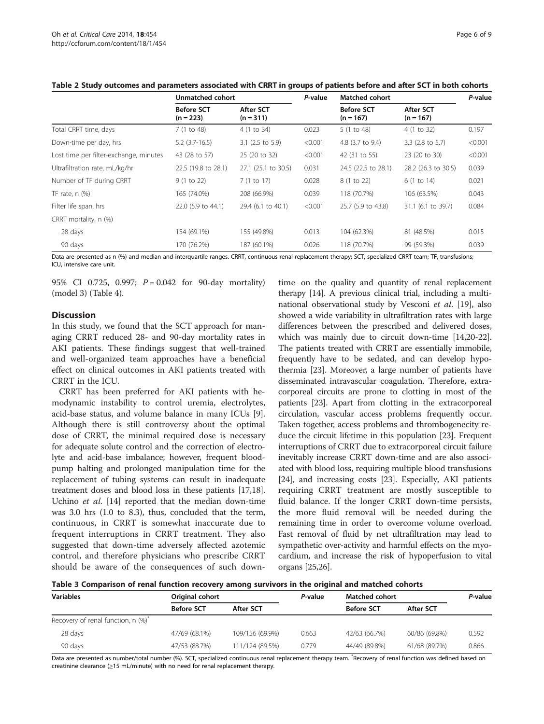|                                        | Unmatched cohort                 |                                 | P-value | <b>Matched cohort</b>            |                                 | P-value |
|----------------------------------------|----------------------------------|---------------------------------|---------|----------------------------------|---------------------------------|---------|
|                                        | <b>Before SCT</b><br>$(n = 223)$ | <b>After SCT</b><br>$(n = 311)$ |         | <b>Before SCT</b><br>$(n = 167)$ | <b>After SCT</b><br>$(n = 167)$ |         |
| Total CRRT time, days                  | 7 (1 to 48)                      | 4 (1 to 34)                     | 0.023   | 5 (1 to 48)                      | 4 (1 to 32)                     | 0.197   |
| Down-time per day, hrs                 | $5.2$ (3.7-16.5)                 | $3.1$ (2.5 to 5.9)              | < 0.001 | 4.8 (3.7 to 9.4)                 | $3.3$ (2.8 to 5.7)              | < 0.001 |
| Lost time per filter-exchange, minutes | 43 (28 to 57)                    | 25 (20 to 32)                   | < 0.001 | 42 (31 to 55)                    | 23 (20 to 30)                   | < 0.001 |
| Ultrafiltration rate, mL/kg/hr         | 22.5 (19.8 to 28.1)              | 27.1 (25.1 to 30.5)             | 0.031   | 24.5 (22.5 to 28.1)              | 28.2 (26.3 to 30.5)             | 0.039   |
| Number of TF during CRRT               | 9(1 to 22)                       | 7 (1 to 17)                     | 0.028   | 8 (1 to 22)                      | 6 (1 to 14)                     | 0.021   |
| TF rate, $n$ $(\%)$                    | 165 (74.0%)                      | 208 (66.9%)                     | 0.039   | 118 (70.7%)                      | 106 (63.5%)                     | 0.043   |
| Filter life span, hrs                  | 22.0 (5.9 to 44.1)               | 29.4 (6.1 to 40.1)              | < 0.001 | 25.7 (5.9 to 43.8)               | 31.1 (6.1 to 39.7)              | 0.084   |
| CRRT mortality, n (%)                  |                                  |                                 |         |                                  |                                 |         |
| 28 days                                | 154 (69.1%)                      | 155 (49.8%)                     | 0.013   | 104 (62.3%)                      | 81 (48.5%)                      | 0.015   |
| 90 days                                | 170 (76.2%)                      | 187 (60.1%)                     | 0.026   | 118 (70.7%)                      | 99 (59.3%)                      | 0.039   |

#### <span id="page-5-0"></span>Table 2 Study outcomes and parameters associated with CRRT in groups of patients before and after SCT in both cohorts

Data are presented as n (%) and median and interquartile ranges. CRRT, continuous renal replacement therapy; SCT, specialized CRRT team; TF, transfusions; ICU, intensive care unit.

95% CI 0.725, 0.997;  $P = 0.042$  for 90-day mortality) (model 3) (Table [4](#page-6-0)).

#### **Discussion**

In this study, we found that the SCT approach for managing CRRT reduced 28- and 90-day mortality rates in AKI patients. These findings suggest that well-trained and well-organized team approaches have a beneficial effect on clinical outcomes in AKI patients treated with CRRT in the ICU.

CRRT has been preferred for AKI patients with hemodynamic instability to control uremia, electrolytes, acid-base status, and volume balance in many ICUs [\[9](#page-8-0)]. Although there is still controversy about the optimal dose of CRRT, the minimal required dose is necessary for adequate solute control and the correction of electrolyte and acid-base imbalance; however, frequent bloodpump halting and prolonged manipulation time for the replacement of tubing systems can result in inadequate treatment doses and blood loss in these patients [\[17,18](#page-8-0)]. Uchino et al. [[14](#page-8-0)] reported that the median down-time was 3.0 hrs (1.0 to 8.3), thus, concluded that the term, continuous, in CRRT is somewhat inaccurate due to frequent interruptions in CRRT treatment. They also suggested that down-time adversely affected azotemic control, and therefore physicians who prescribe CRRT should be aware of the consequences of such down-

time on the quality and quantity of renal replacement therapy [[14](#page-8-0)]. A previous clinical trial, including a multinational observational study by Vesconi et al. [[19](#page-8-0)], also showed a wide variability in ultrafiltration rates with large differences between the prescribed and delivered doses, which was mainly due to circuit down-time [[14,20](#page-8-0)-[22](#page-8-0)]. The patients treated with CRRT are essentially immobile, frequently have to be sedated, and can develop hypothermia [[23](#page-8-0)]. Moreover, a large number of patients have disseminated intravascular coagulation. Therefore, extracorporeal circuits are prone to clotting in most of the patients [\[23\]](#page-8-0). Apart from clotting in the extracorporeal circulation, vascular access problems frequently occur. Taken together, access problems and thrombogenecity reduce the circuit lifetime in this population [\[23\]](#page-8-0). Frequent interruptions of CRRT due to extracorporeal circuit failure inevitably increase CRRT down-time and are also associated with blood loss, requiring multiple blood transfusions [[24](#page-8-0)], and increasing costs [\[23\]](#page-8-0). Especially, AKI patients requiring CRRT treatment are mostly susceptible to fluid balance. If the longer CRRT down-time persists, the more fluid removal will be needed during the remaining time in order to overcome volume overload. Fast removal of fluid by net ultrafiltration may lead to sympathetic over-activity and harmful effects on the myocardium, and increase the risk of hypoperfusion to vital organs [\[25,26](#page-8-0)].

Table 3 Comparison of renal function recovery among survivors in the original and matched cohorts

| <b>Variables</b>                  | Original cohort   |                 | P-value | <b>Matched cohort</b> |               | P-value |
|-----------------------------------|-------------------|-----------------|---------|-----------------------|---------------|---------|
|                                   | <b>Before SCT</b> | After SCT       |         | <b>Before SCT</b>     | After SCT     |         |
| Recovery of renal function, n (%) |                   |                 |         |                       |               |         |
| 28 days                           | 47/69 (68.1%)     | 109/156 (69.9%) | 0.663   | 42/63 (66.7%)         | 60/86 (69.8%) | 0.592   |
| 90 days                           | 47/53 (88.7%)     | 111/124 (89.5%) | 0.779   | 44/49 (89.8%)         | 61/68 (89.7%) | 0.866   |

Data are presented as number/total number (%). SCT, specialized continuous renal replacement therapy team. \* Recovery of renal function was defined based on creatinine clearance ( $\geq$ 15 mL/minute) with no need for renal replacement therapy.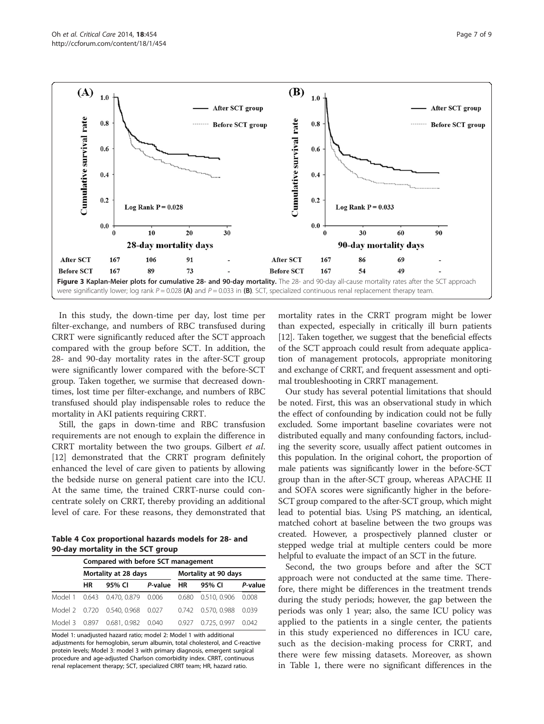<span id="page-6-0"></span>

In this study, the down-time per day, lost time per filter-exchange, and numbers of RBC transfused during CRRT were significantly reduced after the SCT approach compared with the group before SCT. In addition, the 28- and 90-day mortality rates in the after-SCT group were significantly lower compared with the before-SCT group. Taken together, we surmise that decreased downtimes, lost time per filter-exchange, and numbers of RBC transfused should play indispensable roles to reduce the mortality in AKI patients requiring CRRT.

Still, the gaps in down-time and RBC transfusion requirements are not enough to explain the difference in CRRT mortality between the two groups. Gilbert et al. [[12\]](#page-8-0) demonstrated that the CRRT program definitely enhanced the level of care given to patients by allowing the bedside nurse on general patient care into the ICU. At the same time, the trained CRRT-nurse could concentrate solely on CRRT, thereby providing an additional level of care. For these reasons, they demonstrated that

Table 4 Cox proportional hazards models for 28- and 90-day mortality in the SCT group

|         | Compared with before SCT management |                            |            |                      |                    |         |  |
|---------|-------------------------------------|----------------------------|------------|----------------------|--------------------|---------|--|
|         | Mortality at 28 days                |                            |            | Mortality at 90 days |                    |         |  |
|         | HR                                  | 95% CI                     | P-value HR |                      | 95% CI             | P-value |  |
| Model 1 |                                     | 0.643 0.470, 0.879         | 0.006      | 0.680                | 0.510, 0.906       | 0.008   |  |
|         |                                     | Model 2 0.720 0.540, 0.968 | 0.027      |                      | 0.742 0.570, 0.988 | 0.039   |  |
| Model 3 | 0.897                               | 0.681, 0.982               | 0.040      | 0.927                | 0.725, 0.997       | 0.042   |  |

Model 1: unadjusted hazard ratio; model 2: Model 1 with additional adjustments for hemoglobin, serum albumin, total cholesterol, and C-reactive protein levels; Model 3: model 3 with primary diagnosis, emergent surgical procedure and age-adjusted Charlson comorbidity index. CRRT, continuous renal replacement therapy; SCT, specialized CRRT team; HR, hazard ratio.

mortality rates in the CRRT program might be lower than expected, especially in critically ill burn patients [[12](#page-8-0)]. Taken together, we suggest that the beneficial effects of the SCT approach could result from adequate application of management protocols, appropriate monitoring and exchange of CRRT, and frequent assessment and optimal troubleshooting in CRRT management.

Our study has several potential limitations that should be noted. First, this was an observational study in which the effect of confounding by indication could not be fully excluded. Some important baseline covariates were not distributed equally and many confounding factors, including the severity score, usually affect patient outcomes in this population. In the original cohort, the proportion of male patients was significantly lower in the before-SCT group than in the after-SCT group, whereas APACHE II and SOFA scores were significantly higher in the before-SCT group compared to the after-SCT group, which might lead to potential bias. Using PS matching, an identical, matched cohort at baseline between the two groups was created. However, a prospectively planned cluster or stepped wedge trial at multiple centers could be more helpful to evaluate the impact of an SCT in the future.

Second, the two groups before and after the SCT approach were not conducted at the same time. Therefore, there might be differences in the treatment trends during the study periods; however, the gap between the periods was only 1 year; also, the same ICU policy was applied to the patients in a single center, the patients in this study experienced no differences in ICU care, such as the decision-making process for CRRT, and there were few missing datasets. Moreover, as shown in Table [1,](#page-4-0) there were no significant differences in the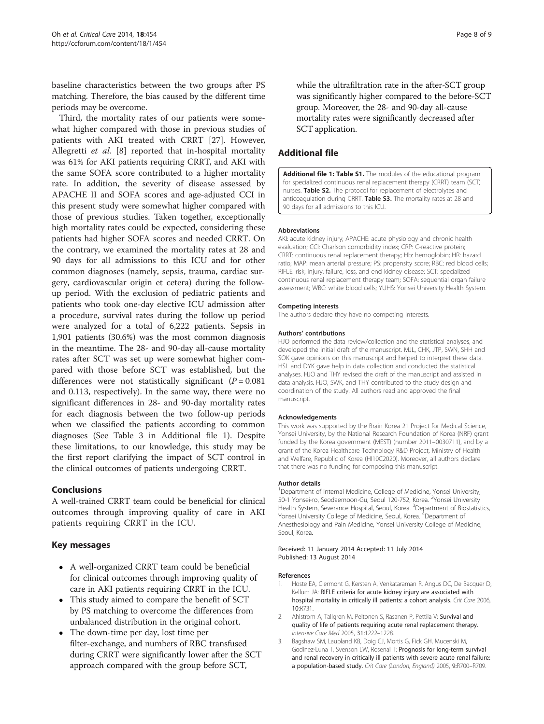<span id="page-7-0"></span>baseline characteristics between the two groups after PS matching. Therefore, the bias caused by the different time periods may be overcome.

Third, the mortality rates of our patients were somewhat higher compared with those in previous studies of patients with AKI treated with CRRT [[27\]](#page-8-0). However, Allegretti et al. [[8](#page-8-0)] reported that in-hospital mortality was 61% for AKI patients requiring CRRT, and AKI with the same SOFA score contributed to a higher mortality rate. In addition, the severity of disease assessed by APACHE II and SOFA scores and age-adjusted CCI in this present study were somewhat higher compared with those of previous studies. Taken together, exceptionally high mortality rates could be expected, considering these patients had higher SOFA scores and needed CRRT. On the contrary, we examined the mortality rates at 28 and 90 days for all admissions to this ICU and for other common diagnoses (namely, sepsis, trauma, cardiac surgery, cardiovascular origin et cetera) during the followup period. With the exclusion of pediatric patients and patients who took one-day elective ICU admission after a procedure, survival rates during the follow up period were analyzed for a total of 6,222 patients. Sepsis in 1,901 patients (30.6%) was the most common diagnosis in the meantime. The 28- and 90-day all-cause mortality rates after SCT was set up were somewhat higher compared with those before SCT was established, but the differences were not statistically significant  $(P = 0.081)$ and 0.113, respectively). In the same way, there were no significant differences in 28- and 90-day mortality rates for each diagnosis between the two follow-up periods when we classified the patients according to common diagnoses (See Table 3 in Additional file 1). Despite these limitations, to our knowledge, this study may be the first report clarifying the impact of SCT control in the clinical outcomes of patients undergoing CRRT.

# Conclusions

A well-trained CRRT team could be beneficial for clinical outcomes through improving quality of care in AKI patients requiring CRRT in the ICU.

#### Key messages

- A well-organized CRRT team could be beneficial for clinical outcomes through improving quality of care in AKI patients requiring CRRT in the ICU.
- This study aimed to compare the benefit of SCT by PS matching to overcome the differences from unbalanced distribution in the original cohort.
- The down-time per day, lost time per filter-exchange, and numbers of RBC transfused during CRRT were significantly lower after the SCT approach compared with the group before SCT,

while the ultrafiltration rate in the after-SCT group was significantly higher compared to the before-SCT group. Moreover, the 28- and 90-day all-cause mortality rates were significantly decreased after SCT application.

# Additional file

[Additional file 1: Table S1.](http://ccforum.com/content/supplementary/s13054-014-0454-8-s1.pdf) The modules of the educational program for specialized continuous renal replacement therapy (CRRT) team (SCT) nurses. Table S2. The protocol for replacement of electrolytes and anticoagulation during CRRT. Table S3. The mortality rates at 28 and 90 days for all admissions to this ICU.

#### **Abbreviations**

AKI: acute kidney injury; APACHE: acute physiology and chronic health evaluation; CCI: Charlson comorbidity index; CRP: C-reactive protein; CRRT: continuous renal replacement therapy; Hb: hemoglobin; HR: hazard ratio; MAP: mean arterial pressure; PS: propensity score; RBC: red blood cells; RIFLE: risk, injury, failure, loss, and end kidney disease; SCT: specialized continuous renal replacement therapy team; SOFA: sequential organ failure assessment; WBC: white blood cells; YUHS: Yonsei University Health System.

#### Competing interests

The authors declare they have no competing interests.

#### Authors' contributions

HJO performed the data review/collection and the statistical analyses, and developed the initial draft of the manuscript. MJL, CHK, JTP, SWN, SHH and SOK gave opinions on this manuscript and helped to interpret these data. HSL and DYK gave help in data collection and conducted the statistical analyses. HJO and THY revised the draft of the manuscript and assisted in data analysis. HJO, SWK, and THY contributed to the study design and coordination of the study. All authors read and approved the final manuscript.

#### Acknowledgements

This work was supported by the Brain Korea 21 Project for Medical Science, Yonsei University, by the National Research Foundation of Korea (NRF) grant funded by the Korea government (MEST) (number 2011–0030711), and by a grant of the Korea Healthcare Technology R&D Project, Ministry of Health and Welfare, Republic of Korea (HI10C2020). Moreover, all authors declare that there was no funding for composing this manuscript.

#### Author details

<sup>1</sup>Department of Internal Medicine, College of Medicine, Yonsei University 50-1 Yonsei-ro, Seodaemoon-Gu, Seoul 120-752, Korea. <sup>2</sup>Yonsei University Health System, Severance Hospital, Seoul, Korea. <sup>3</sup>Department of Biostatistics, Yonsei University College of Medicine, Seoul, Korea. <sup>4</sup>Department of Anesthesiology and Pain Medicine, Yonsei University College of Medicine, Seoul, Korea.

Received: 11 January 2014 Accepted: 11 July 2014 Published: 13 August 2014

#### References

- 1. Hoste EA, Clermont G, Kersten A, Venkataraman R, Angus DC, De Bacquer D, Kellum JA: RIFLE criteria for acute kidney injury are associated with hospital mortality in critically ill patients: a cohort analysis. Crit Care 2006, 10:R731.
- 2. Ahlstrom A, Tallgren M, Peltonen S, Rasanen P, Pettila V: Survival and quality of life of patients requiring acute renal replacement therapy. Intensive Care Med 2005, 31:1222–1228.
- 3. Bagshaw SM, Laupland KB, Doig CJ, Mortis G, Fick GH, Mucenski M, Godinez-Luna T, Svenson LW, Rosenal T: Prognosis for long-term survival and renal recovery in critically ill patients with severe acute renal failure: a population-based study. Crit Care (London, England) 2005, 9:R700–R709.